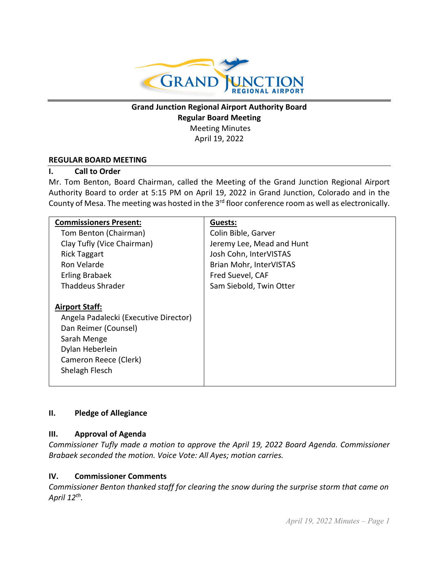

# **Grand Junction Regional Airport Authority Board Regular Board Meeting** Meeting Minutes April 19, 2022

#### **REGULAR BOARD MEETING**

#### **I. Call to Order**

Mr. Tom Benton, Board Chairman, called the Meeting of the Grand Junction Regional Airport Authority Board to order at 5:15 PM on April 19, 2022 in Grand Junction, Colorado and in the County of Mesa. The meeting was hosted in the 3<sup>rd</sup> floor conference room as well as electronically.

| <b>Commissioners Present:</b>         | Guests:                   |
|---------------------------------------|---------------------------|
| Tom Benton (Chairman)                 | Colin Bible, Garver       |
| Clay Tufly (Vice Chairman)            | Jeremy Lee, Mead and Hunt |
| <b>Rick Taggart</b>                   | Josh Cohn, InterVISTAS    |
| Ron Velarde                           | Brian Mohr, InterVISTAS   |
| <b>Erling Brabaek</b>                 | Fred Suevel, CAF          |
| <b>Thaddeus Shrader</b>               | Sam Siebold, Twin Otter   |
|                                       |                           |
| <b>Airport Staff:</b>                 |                           |
| Angela Padalecki (Executive Director) |                           |
| Dan Reimer (Counsel)                  |                           |
| Sarah Menge                           |                           |
| Dylan Heberlein                       |                           |
| Cameron Reece (Clerk)                 |                           |
| Shelagh Flesch                        |                           |
|                                       |                           |

#### **II. Pledge of Allegiance**

#### **III. Approval of Agenda**

*Commissioner Tufly made a motion to approve the April 19, 2022 Board Agenda. Commissioner Brabaek seconded the motion. Voice Vote: All Ayes; motion carries.*

#### **IV. Commissioner Comments**

*Commissioner Benton thanked staff for clearing the snow during the surprise storm that came on April 12th.*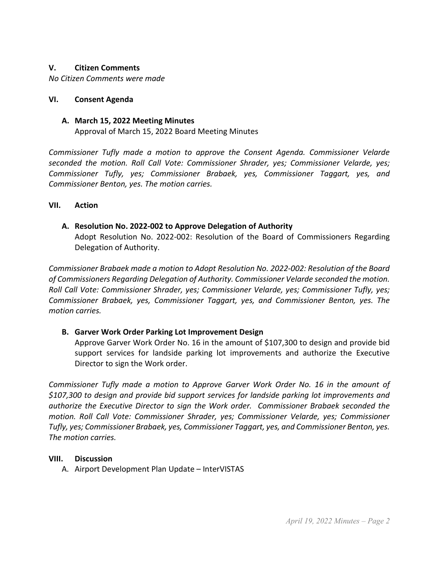#### **V. Citizen Comments**

*No Citizen Comments were made*

#### **VI. Consent Agenda**

#### **A. March 15, 2022 Meeting Minutes**

Approval of March 15, 2022 Board Meeting Minutes

*Commissioner Tufly made a motion to approve the Consent Agenda. Commissioner Velarde seconded the motion. Roll Call Vote: Commissioner Shrader, yes; Commissioner Velarde, yes; Commissioner Tufly, yes; Commissioner Brabaek, yes, Commissioner Taggart, yes, and Commissioner Benton, yes. The motion carries.*

#### **VII. Action**

## **A. Resolution No. 2022-002 to Approve Delegation of Authority**

Adopt Resolution No. 2022-002: Resolution of the Board of Commissioners Regarding Delegation of Authority.

*Commissioner Brabaek made a motion to Adopt Resolution No. 2022-002: Resolution of the Board of Commissioners Regarding Delegation of Authority. Commissioner Velarde seconded the motion. Roll Call Vote: Commissioner Shrader, yes; Commissioner Velarde, yes; Commissioner Tufly, yes; Commissioner Brabaek, yes, Commissioner Taggart, yes, and Commissioner Benton, yes. The motion carries.*

## **B. Garver Work Order Parking Lot Improvement Design**

Approve Garver Work Order No. 16 in the amount of \$107,300 to design and provide bid support services for landside parking lot improvements and authorize the Executive Director to sign the Work order.

*Commissioner Tufly made a motion to Approve Garver Work Order No. 16 in the amount of \$107,300 to design and provide bid support services for landside parking lot improvements and authorize the Executive Director to sign the Work order. Commissioner Brabaek seconded the motion. Roll Call Vote: Commissioner Shrader, yes; Commissioner Velarde, yes; Commissioner Tufly, yes; Commissioner Brabaek, yes, Commissioner Taggart, yes, and Commissioner Benton, yes. The motion carries.*

#### **VIII. Discussion**

A. Airport Development Plan Update – InterVISTAS